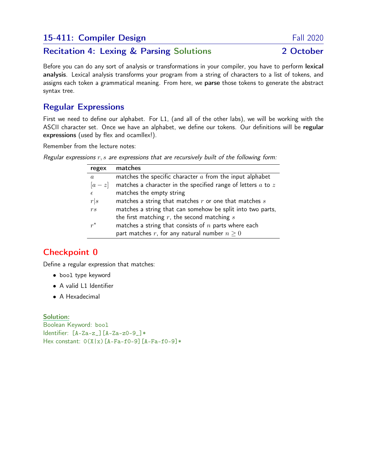## 15-411: Compiler Design Fall 2020

### Recitation 4: Lexing & Parsing Solutions 2 October

Before you can do any sort of analysis or transformations in your compiler, you have to perform lexical analysis. Lexical analysis transforms your program from a string of characters to a list of tokens, and assigns each token a grammatical meaning. From here, we parse those tokens to generate the abstract syntax tree.

### Regular Expressions

First we need to define our alphabet. For L1, (and all of the other labs), we will be working with the ASCII character set. Once we have an alphabet, we define our tokens. Our definitions will be regular expressions (used by flex and ocamllex!).

Remember from the lecture notes:

Regular expressions  $r, s$  are expressions that are recursively built of the following form:

| regex            | matches                                                          |
|------------------|------------------------------------------------------------------|
| $\boldsymbol{a}$ | matches the specific character $a$ from the input alphabet       |
| $[a-z]$          | matches a character in the specified range of letters $a$ to $z$ |
| $\epsilon$       | matches the empty string                                         |
| r s              | matches a string that matches $r$ or one that matches $s$        |
| rs               | matches a string that can somehow be split into two parts,       |
|                  | the first matching $r$ , the second matching $s$                 |
| $r^*$            | matches a string that consists of $n$ parts where each           |
|                  | part matches r, for any natural number $n \geq 0$                |

# Checkpoint 0

Define a regular expression that matches:

- bool type keyword
- A valid L1 Identifier
- A Hexadecimal

#### Solution:

Boolean Keyword: bool Identifier: [A-Za-z\_][A-Za-z0-9\_]\* Hex constant:  $0(X|x)$ [A-Fa-f0-9][A-Fa-f0-9]\*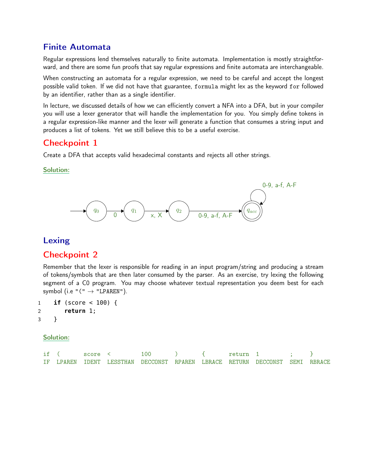#### Finite Automata

Regular expressions lend themselves naturally to finite automata. Implementation is mostly straightforward, and there are some fun proofs that say regular expressions and finite automata are interchangeable.

When constructing an automata for a regular expression, we need to be careful and accept the longest possible valid token. If we did not have that guarantee, formula might lex as the keyword for followed by an identifier, rather than as a single identifier.

In lecture, we discussed details of how we can efficiently convert a NFA into a DFA, but in your compiler you will use a lexer generator that will handle the implementation for you. You simply define tokens in a regular expression-like manner and the lexer will generate a function that consumes a string input and produces a list of tokens. Yet we still believe this to be a useful exercise.

### Checkpoint 1

Create a DFA that accepts valid hexadecimal constants and rejects all other strings.

#### Solution:



#### Lexing

#### Checkpoint 2

Remember that the lexer is responsible for reading in an input program/string and producing a stream of tokens/symbols that are then later consumed by the parser. As an exercise, try lexing the following segment of a C0 program. You may choose whatever textual representation you deem best for each symbol (i.e " $(" \rightarrow "LPARENT$ ).

```
1 if (score < 100) {
2 return 1;
3 }
```
#### Solution:

| if ( | score < | 100                                                                         |  | return 1 |  |  |
|------|---------|-----------------------------------------------------------------------------|--|----------|--|--|
|      |         | IF LPAREN IDENT LESSTHAN DECCONST RPAREN LBRACE RETURN DECCONST SEMI RBRACE |  |          |  |  |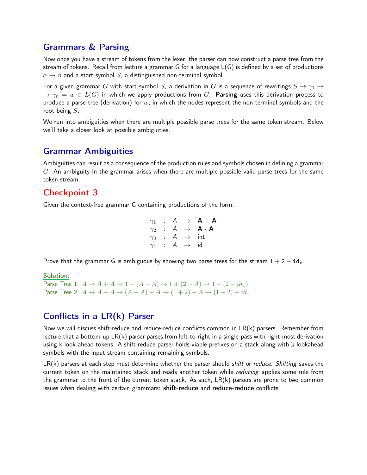#### Grammars & Parsing

Now once you have a stream of tokens from the lexer, the parser can now construct a parse tree from the stream of tokens. Recall from lecture a grammar G for a language L(G) is defined by a set of productions  $\alpha \rightarrow \beta$  and a start symbol S, a distinguished non-terminal symbol.

For a given grammar G with start symbol S, a derivation in G is a sequence of rewritings  $S \to \gamma_1 \to$  $\rightarrow \gamma_n = w \in L(G)$  in which we apply productions from G. Parsing uses this derivation process to produce a parse tree (derivation) for  $w$ , in which the nodes represent the non-terminal symbols and the root being S.

We run into ambiguities when there are multiple possible parse trees for the same token stream. Below we'll take a closer look at possible ambiguities.

#### Grammar Ambiguities

Ambiguities can result as a consequence of the production rules and symbols chosen in defining a grammar  $G$ . An ambiguity in the grammar arises when there are multiple possible valid parse trees for the same token stream.

### Checkpoint 3

Given the context-free grammar G containing productions of the form:

$$
\begin{array}{rcl}\n\gamma_1 & : & A & \rightarrow & \mathsf{A} + \mathsf{A} \\
\gamma_2 & : & A & \rightarrow & \mathsf{A} - \mathsf{A} \\
\gamma_3 & : & A & \rightarrow & \text{int} \\
\gamma_4 & : & A & \rightarrow & \text{id}\n\end{array}
$$

Prove that the grammar G is ambiguous by showing two parse trees for the stream  $1 + 2 - id_x$ .

Solution:

Parse Tree 1:  $A \to A + A \to 1 + (A - A) \to 1 + (2 - A) \to 1 + (2 - id_x)$ Parse Tree 2:  $A \rightarrow A - A \rightarrow (A + A) - A \rightarrow (1 + 2) - A \rightarrow (1 + 2) - id_x$ 

# Conflicts in a LR(k) Parser

Now we will discuss shift-reduce and reduce-reduce conflicts common in LR(k) parsers. Remember from lecture that a bottom-up LR(k) parser parses from left-to-right in a single-pass with right-most derivation using k look-ahead tokens. A shift-reduce parser holds viable prefixes on a stack along with k lookahead symbols with the input stream containing remaining symbols.

 $LR(k)$  parsers at each step must determine whether the parser should *shift or reduce. Shifting* saves the current token on the maintained stack and reads another token while *reducing* applies some rule from the grammar to the front of the current token stack. As such, LR(k) parsers are prone to two common issues when dealing with certain grammars: shift-reduce and reduce-reduce conflicts.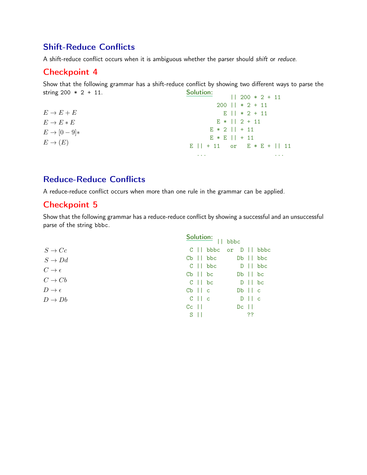## Shift-Reduce Conflicts

A shift-reduce conflict occurs when it is ambiguous whether the parser should shift or reduce.

#### Checkpoint 4

Show that the following grammar has a shift-reduce conflict by showing two different ways to parse the string  $200 * 2 + 11$ . Solution:  $|1 200 * 2 + 11|$ 

|                        | $11$ $200$ $7$ $2$ $1$ $11$    |
|------------------------|--------------------------------|
|                        | $200$    $*$ 2 + 11            |
| $E \rightarrow E + E$  | $E$    $*$ 2 + 11              |
| $E \to E * E$          | $E *   2 + 11$                 |
| $E \rightarrow [0-9]*$ | $E * 2    + 11$                |
|                        | $E * E    + 11$                |
| $E \to (E)$            | $E$    + 11 or $E * E +$    11 |
|                        | $\cdots$<br>$\cdots$           |

## Reduce-Reduce Conflicts

A reduce-reduce conflict occurs when more than one rule in the grammar can be applied.

#### Checkpoint 5

Show that the following grammar has a reduce-reduce conflict by showing a successful and an unsuccessful parse of the string bbbc.

|                          | <b>Solution:</b><br>   bbbc             |                                   |  |
|--------------------------|-----------------------------------------|-----------------------------------|--|
| $S \to Cc$               | $C \parallel b b b c$                   | or D    bbbc                      |  |
| $S \to Dd$               | $Cb$ $  $ $bbc$                         | $Db \mid \cdot \cdot \cdot \cdot$ |  |
| $C \rightarrow \epsilon$ | $C \mid \text{bbc}$ $D \mid \text{bbc}$ |                                   |  |
|                          | $Cb$ $\vert \vert$ $bc$                 | $Db \mid \mid bc$                 |  |
| $C \rightarrow Cb$       | $C \parallel bc$                        | $D \mid \mid bc$                  |  |
| $D\to\epsilon$           | $Cb$    $c$                             | $Db \mid c$                       |  |
| $D \to Db$               | $C \parallel c$                         | $D \mid c$                        |  |
|                          | $Cc$                                    | $Dc$                              |  |
|                          | $S$                                     | ??                                |  |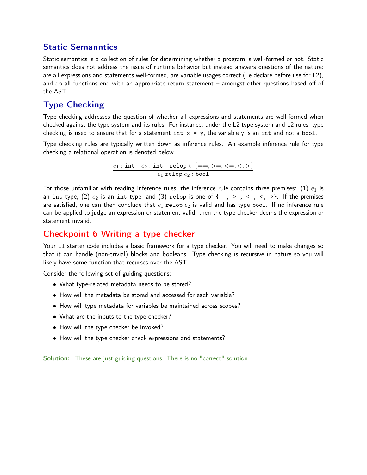## Static Semanntics

Static semantics is a collection of rules for determining whether a program is well-formed or not. Static semantics does not address the issue of runtime behavior but instead answers questions of the nature: are all expressions and statements well-formed, are variable usages correct (i.e declare before use for L2), and do all functions end with an appropriate return statement – amongst other questions based off of the AST.

# Type Checking

Type checking addresses the question of whether all expressions and statements are well-formed when checked against the type system and its rules. For instance, under the L2 type system and L2 rules, type checking is used to ensure that for a statement int  $x = y$ , the variable y is an int and not a bool.

Type checking rules are typically written down as inference rules. An example inference rule for type checking a relational operation is denoted below.

$$
\underbrace{e_1: \texttt{int} \quad e_2: \texttt{int} \quad \texttt{relop} \in \{==, >=, <, >\}}_{\texttt{$e_1$ relop $e_2$ : bool}}
$$

For those unfamiliar with reading inference rules, the inference rule contains three premises: (1)  $e_1$  is an int type, (2)  $e_2$  is an int type, and (3) relop is one of  $\{ ==, >=, <=, < \}$ . If the premises are satisfied, one can then conclude that  $e_1$  relop  $e_2$  is valid and has type bool. If no inference rule can be applied to judge an expression or statement valid, then the type checker deems the expression or statement invalid.

### Checkpoint 6 Writing a type checker

Your L1 starter code includes a basic framework for a type checker. You will need to make changes so that it can handle (non-trivial) blocks and booleans. Type checking is recursive in nature so you will likely have some function that recurses over the AST.

Consider the following set of guiding questions:

- What type-related metadata needs to be stored?
- How will the metadata be stored and accessed for each variable?
- How will type metadata for variables be maintained across scopes?
- What are the inputs to the type checker?
- How will the type checker be invoked?
- How will the type checker check expressions and statements?

Solution: These are just guiding questions. There is no "correct" solution.